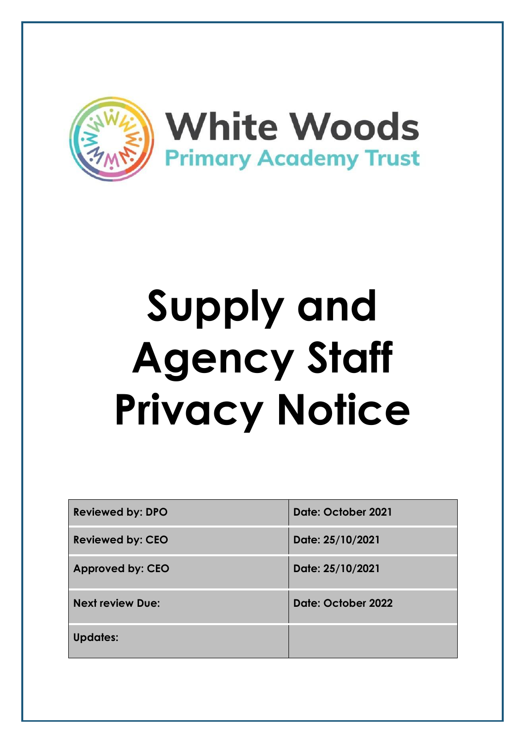

# **Supply and Agency Staff Privacy Notice**

| <b>Reviewed by: DPO</b> | Date: October 2021 |
|-------------------------|--------------------|
| <b>Reviewed by: CEO</b> | Date: 25/10/2021   |
| <b>Approved by: CEO</b> | Date: 25/10/2021   |
| <b>Next review Due:</b> | Date: October 2022 |
| <b>Updates:</b>         |                    |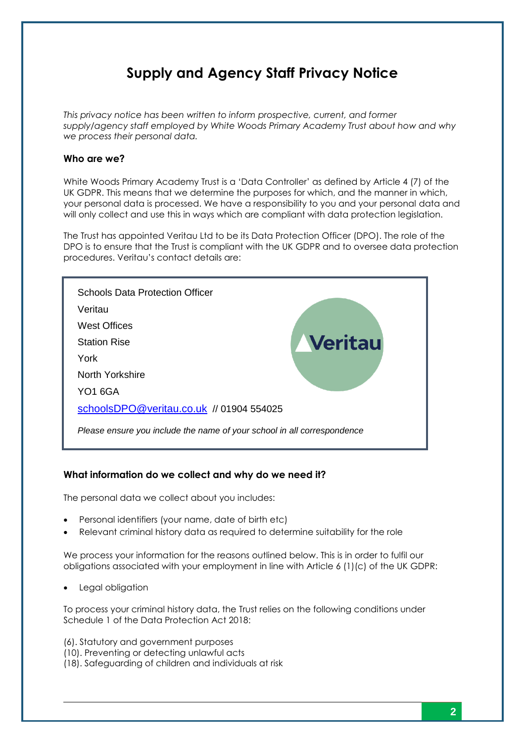# **Supply and Agency Staff Privacy Notice**

*This privacy notice has been written to inform prospective, current, and former supply/agency staff employed by White Woods Primary Academy Trust about how and why we process their personal data.*

#### **Who are we?**

White Woods Primary Academy Trust is a 'Data Controller' as defined by Article 4 (7) of the UK GDPR. This means that we determine the purposes for which, and the manner in which, your personal data is processed. We have a responsibility to you and your personal data and will only collect and use this in ways which are compliant with data protection legislation.

The Trust has appointed Veritau Ltd to be its Data Protection Officer (DPO). The role of the DPO is to ensure that the Trust is compliant with the UK GDPR and to oversee data protection procedures. Veritau's contact details are:

| <b>Schools Data Protection Officer</b>                                  |         |
|-------------------------------------------------------------------------|---------|
| Veritau                                                                 |         |
| West Offices                                                            |         |
| <b>Station Rise</b>                                                     | Veritau |
| York                                                                    |         |
| North Yorkshire                                                         |         |
| <b>YO1 6GA</b>                                                          |         |
| schoolsDPO@veritau.co.uk // 01904 554025                                |         |
| Please ensure you include the name of your school in all correspondence |         |

# **What information do we collect and why do we need it?**

The personal data we collect about you includes:

- Personal identifiers (your name, date of birth etc)
- Relevant criminal history data as required to determine suitability for the role

We process your information for the reasons outlined below. This is in order to fulfil our obligations associated with your employment in line with Article 6 (1)(c) of the UK GDPR:

Legal obligation

To process your criminal history data, the Trust relies on the following conditions under Schedule 1 of the Data Protection Act 2018:

(6). Statutory and government purposes

- (10). Preventing or detecting unlawful acts
- (18). Safeguarding of children and individuals at risk